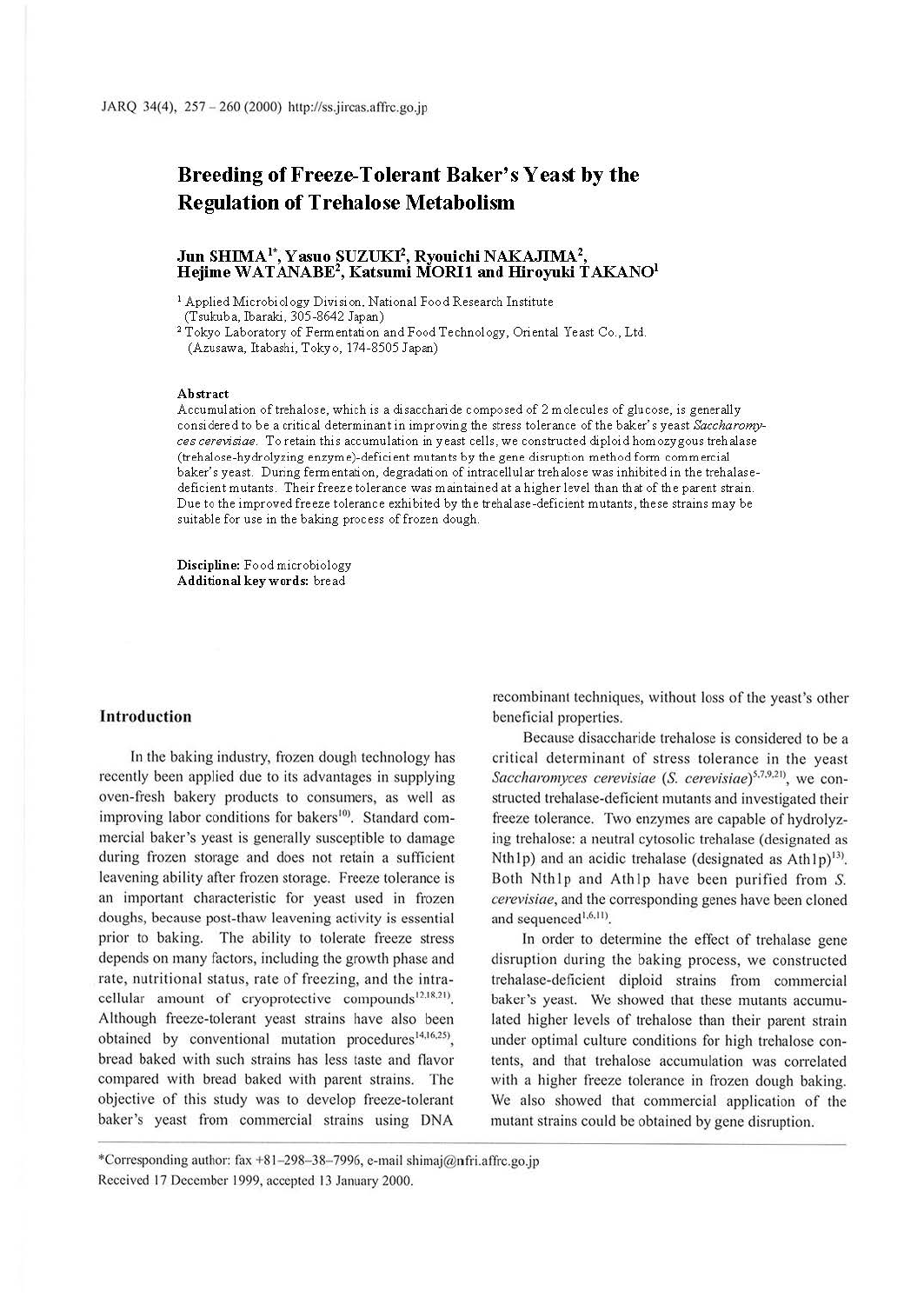# **Breeding of Freeze-Tolerant Baker's Yeast by the Regulation of Trehalose Metabolism**

## **Jun SHIMA1\*, Yasuo SUZUKI2, Ryouichi NAKAJIMA 2, Hejime WATANABE2 , Katsumi MORil and Hiroyuki TAKAN01**

1 Applied Microbiology Division, National Food Research Institute (Tsukuba, Ibaraki, 305-8642 Japan)

<sup>2</sup> Tokyo Laboratory of Fermentation and Food Technology, Oriental Yeast Co., Ltd. (Azusawa, Itabashi, Tokyo, 174-8505 Japan)

#### **Abstract**

Accumulation oftrehalose, which is a disaccharide composed of 2 molecules of glucose, is generally considered to be a critical determinant in improving the stress tolerance of the baker's yeast *Saccharomyces cerevisiae.* To retain this accumulation in yeast cells, we constructed diploid homozygous trehalase (trehalose-hydrolyzing enzyme)-deficient mutants by the gene disruption method form commercial baker's yeast. During fermentation, degradation of intracellular trehalose was inhibited in the trehalasedeficient mutants. Their freeze tolerance was maintained at a higher level than that of the parent strain. Due to the improved freeze tolerance exhibited by the trehalase-deficient mutants, these strains may be suitable for use in the baking process of frozen dough.

**Discipline:** Food microbiology **Additional key words:** bread

#### **Introduction**

In the baking industry, frozen dough technology has recently been applied due to its advantages in supplying oven-fresh bakery products to consumers, as well as improving labor conditions for bakers<sup>10)</sup>. Standard commercial baker's yeast is generally susceptible to damage during frozen storage and does not retain a sufficient leavening ability after frozen storage. Freeze tolerance is an important characteristic for yeast used in frozen doughs, because post-thaw leavening activity is essential prior to baking. The ability to tolerate freeze stress depends on many factors, including the growth phase and rate, nutritional status, rate of freezing, and the intracellular amount of cryoprotective compounds<sup>12,18,21)</sup>. Although freeze-tolerant yeast strains have also been obtained by conventional mutation procedures<sup>14,16,25</sup>), bread baked with such strains has less taste and flavor compared with bread baked with parent strains. The objective of this study was to develop freeze-tolerant baker's yeast from commercial strains using DNA

recombinant techniques, without loss of the yeast's other beneficial properties.

Because disaccharide trehalose is considered to be a critical determinant of stress tolerance in the yeast *Saccharomyces cerevisiae* (*S. cerevisiae*)<sup>5,7,9,21</sup>, we constructed trehalase-deficient mutants and investigated their freeze tolerance. Two enzymes are capable of hydrolyzing trehalose: a neutral cytosolic trehalase (designated as Nth Ip) and an acidic trehalase (designated as  $Ath 1p$ <sup>13)</sup>. Both Nth1p and Ath1p have been purified from S. *cerevisiae,* and the corresponding genes have been cloned and sequenced<sup>1,6,11</sup>.

In order to determine the effect of trehalase gene disruption during the baking process, we constructed trehalase-deficient diploid strains from commercial baker's yeast. We showed that these mutants accumulated higher levels of trehalose than their parent strain under optimal culture conditions for high trehalose contents, and that trehalose accumulation was correlated with a higher freeze tolerance in frozen dough baking. We also showed that commercial application of the mutant strains could be obtained by gene disruption.

<sup>\*</sup>Corresponding author: fax +8 1- 298- 38- 7996, e-mail shimaj@nfri.affrc.go.jp Received 17 December 1999, accepted 13 January 2000.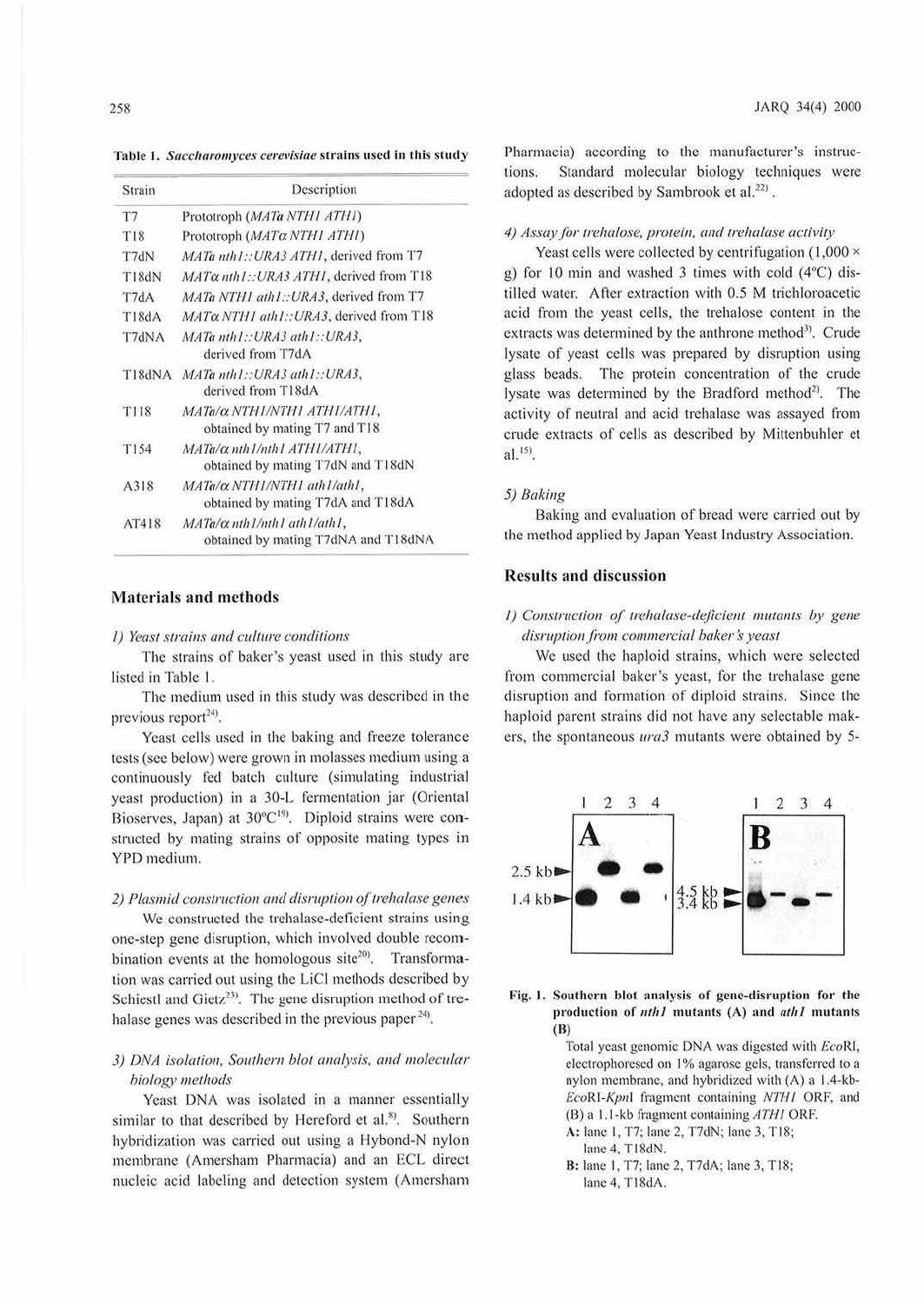Table 1. Saccharomyces cerevisiae strains used in this study

| Strain      | Description                                                               |
|-------------|---------------------------------------------------------------------------|
| T7          | Prototroph (MATa NTHI ATHI)                                               |
| <b>T18</b>  | Prototroph (MATa NTH1 ATH1)                                               |
| T7dN        | MATa nth1::URA3 ATH1, derived from T7                                     |
| T18dN       | MATa nth1::URA3 ATH1, derived from T18                                    |
| T7dA        | MATa NTH1 ath1:: URA3, derived from T7                                    |
| T18dA       | $MAT\alpha NTHI$ ath1:: $URA3$ , derived from T18                         |
| T7dNA       | MATa nth1::URA3 ath1::URA3,<br>derived from T7dA                          |
| T18dNA      | MATa nth1::URA3 ath1::URA3,<br>derived from T18dA                         |
| <b>T118</b> | MATa/α NTH1/NTH1 ATH1/ATH1,<br>obtained by mating T7 and T18              |
| T154        | MATa/ $\alpha$ nth1/nth1 ATH1/ATH1,<br>obtained by mating T7dN and T18dN  |
| A318        | MATa/ $\alpha$ NTH1/NTH1 ath1/ath1,<br>obtained by mating T7dA and T18dA  |
| AT418       | $MATa/\alpha$ nth1/nth1 ath1/ath1,<br>obtained by mating T7dNA and T18dNA |

## **Materials and methods**

#### 1) Yeast strains and culture conditions

The strains of baker's yeast used in this study are listed in Table 1.

The medium used in this study was described in the previous report<sup>24)</sup>.

Yeast cells used in the baking and freeze tolerance tests (see below) were grown in molasses medium using a continuously fed batch culture (simulating industrial yeast production) in a 30-L fermentation jar (Oriental Bioserves, Japan) at  $30^{\circ}C^{19}$ . Diploid strains were constructed by mating strains of opposite mating types in YPD medium.

2) Plasmid construction and disruption of trehalase genes

We constructed the trehalase-deficient strains using one-step gene disruption, which involved double recombination events at the homologous site<sup>20)</sup>. Transformation was carried out using the LiCl methods described by Schiestl and Gietz<sup>23)</sup>. The gene disruption method of trehalase genes was described in the previous paper<sup>24)</sup>.

## 3) DNA isolation, Southern blot analysis, and molecular biology methods

Yeast DNA was isolated in a manner essentially similar to that described by Hereford et al.<sup>8</sup>). Southern hybridization was carried out using a Hybond-N nylon membrane (Amersham Pharmacia) and an ECL direct nucleic acid labeling and detection system (Amersham

Pharmacia) according to the manufacturer's instructions. Standard molecular biology techniques were adopted as described by Sambrook et al.<sup>22)</sup>.

#### 4) Assay for trehalose, protein, and trehalase activity

Yeast cells were collected by centrifugation (1,000  $\times$ g) for 10 min and washed 3 times with cold (4°C) distilled water. After extraction with 0.5 M trichloroacetic acid from the yeast cells, the trehalose content in the extracts was determined by the anthrone method<sup>3)</sup>. Crude lysate of yeast cells was prepared by disruption using glass beads. The protein concentration of the crude lysate was determined by the Bradford method<sup>2)</sup>. The activity of neutral and acid trehalase was assayed from crude extracts of cells as described by Mittenbuhler et  $al.$ <sup>15)</sup>.

#### 5) Baking

Baking and evaluation of bread were carried out by the method applied by Japan Yeast Industry Association.

## **Results and discussion**

# 1) Construction of trehalase-deficient mutants by gene disruption from commercial baker's yeast

We used the haploid strains, which were selected from commercial baker's yeast, for the trehalase gene disruption and formation of diploid strains. Since the haploid parent strains did not have any selectable makers, the spontaneous *ura3* mutants were obtained by 5-



Fig. 1. Southern blot analysis of gene-disruption for the production of nth1 mutants (A) and ath1 mutants  $(B)$ 

> Total yeast genomic DNA was digested with EcoRI, electrophoresed on 1% agarose gels, transferred to a nylon membrane, and hybridized with (A) a 1.4-kb-EcoRI-Kpnl fragment containing NTH1 ORF, and (B) a 1.1-kb fragment containing ATH1 ORF.

- A: lane 1, T7; lane 2, T7dN; lane 3, T18;
	- lane 4, T18dN.
- B: lane 1, T7; lane 2, T7dA; lane 3, T18; lane 4, T18dA.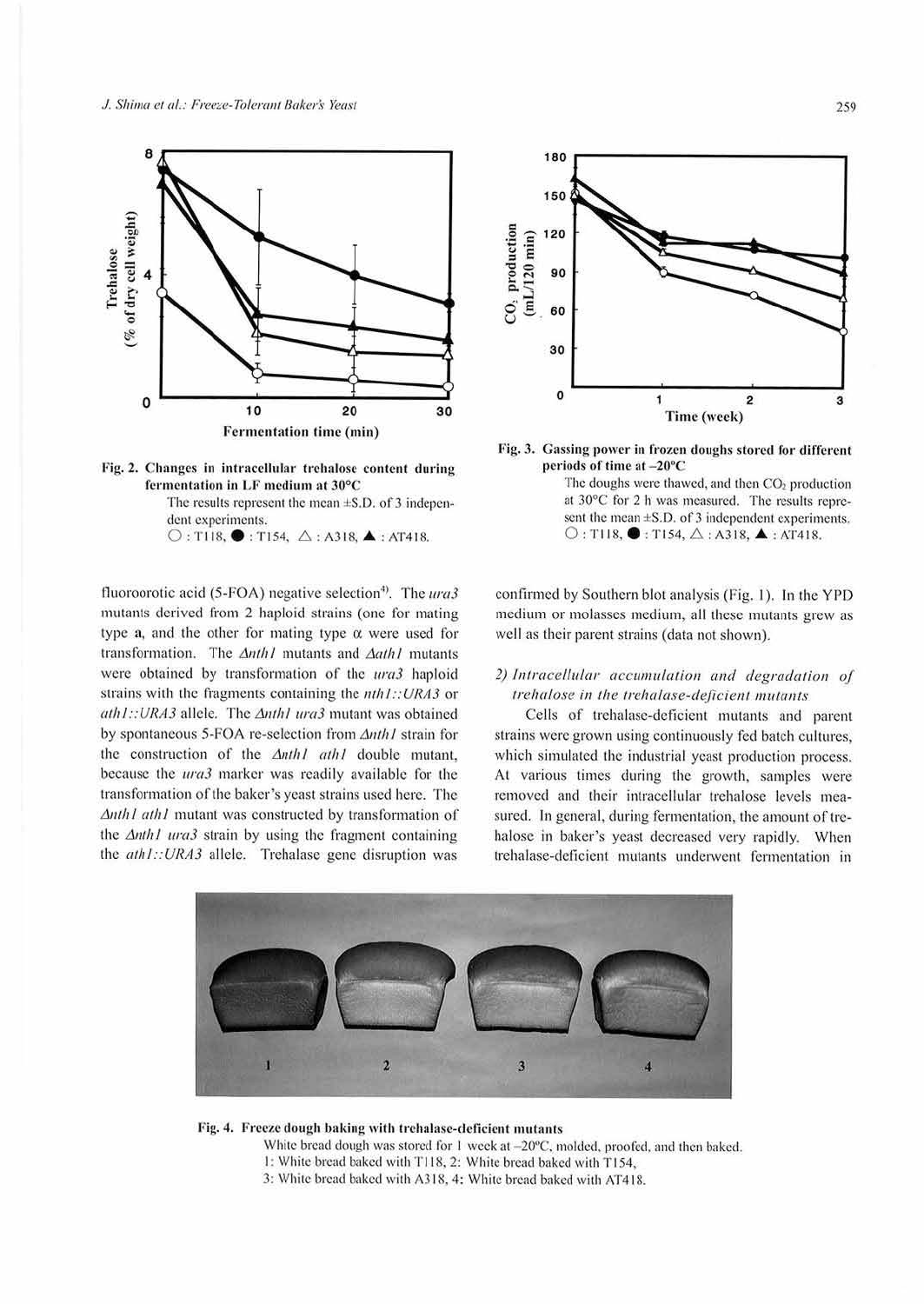



 $\bigcirc$ : T118,  $\bigcirc$ : T154,  $\bigtriangleup$ : A318,  $\blacktriangle$ : AT418.

fluoroorotic acid (5-FOA) negative selection<sup>4)</sup>. The ura3 mutants derived from 2 haploid strains (one for mating type  $a$ , and the other for mating type  $\alpha$  were used for transformation. The  $\Delta$ nth I mutants and  $\Delta$ ath I mutants were obtained by transformation of the ura3 haploid strains with the fragments containing the  $nth1::URA3$  or  $ath1::URA3$  allele. The  $\Delta$ nth1 ura3 mutant was obtained by spontaneous 5-FOA re-selection from Anth1 strain for the construction of the Anth1 ath1 double mutant, because the *ura3* marker was readily available for the transformation of the baker's yeast strains used here. The Anth1 ath1 mutant was constructed by transformation of the  $\Delta$ nth1 ura3 strain by using the fragment containing the ath1::URA3 allele. Trehalase gene disruption was



Fig. 3. Gassing power in frozen doughs stored for different periods of time at -20°C

The doughs were thawed, and then CO<sub>2</sub> production at 30°C for 2 h was measured. The results represent the mean  $\pm$ S.D. of 3 independent experiments.  $\bigcirc$ : T118,  $\bigcirc$ : T154,  $\bigtriangleup$ : A318,  $\blacktriangle$ : AT418.

confirmed by Southern blot analysis (Fig. 1). In the YPD medium or molasses medium, all these mutants grew as well as their parent strains (data not shown).

# 2) Intracellular accumulation and degradation of trehalose in the trehalase-deficient mutants

Cells of trehalase-deficient mutants and parent strains were grown using continuously fed batch cultures. which simulated the industrial yeast production process. At various times during the growth, samples were removed and their intracellular trehalose levels measured. In general, during fermentation, the amount of trehalose in baker's yeast decreased very rapidly. When trehalase-deficient mutants underwent fermentation in



## Fig. 4. Freeze dough baking with trehalase-deficient mutants

White bread dough was stored for 1 week at -20°C, molded, proofed, and then baked.

- 1: White bread baked with T118, 2: White bread baked with T154,
- 3: White bread baked with A318, 4: White bread baked with AT418.